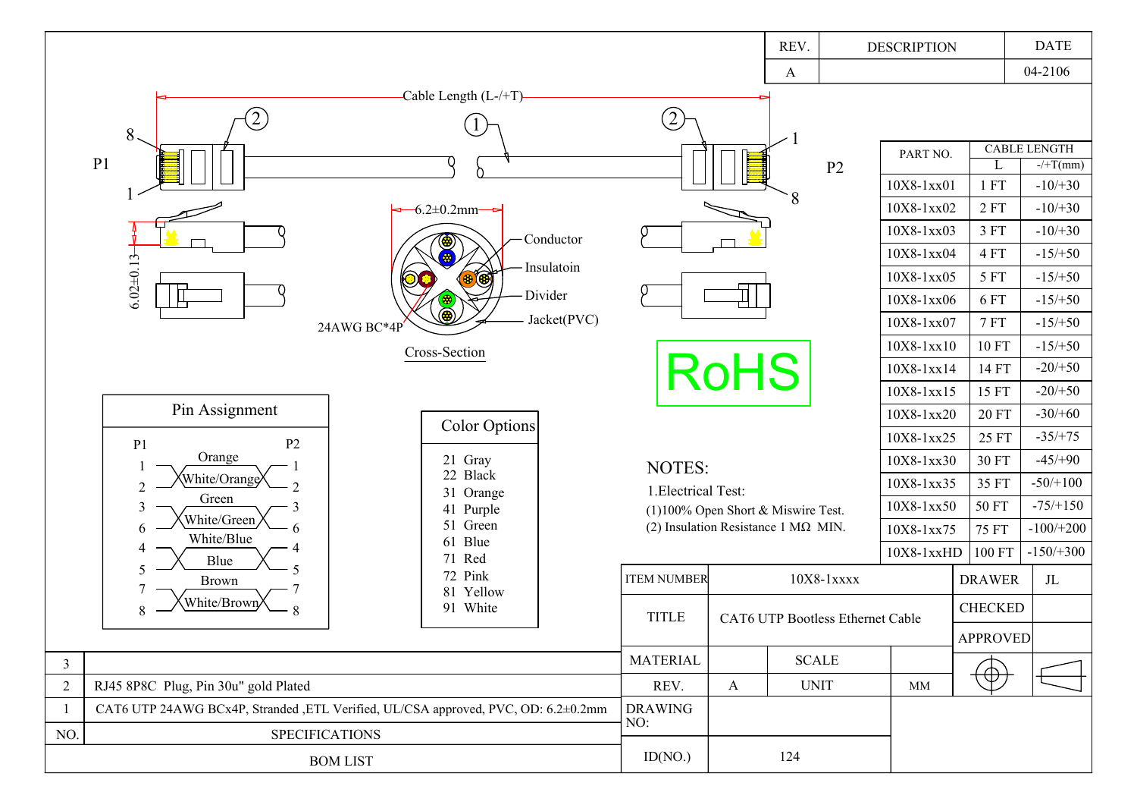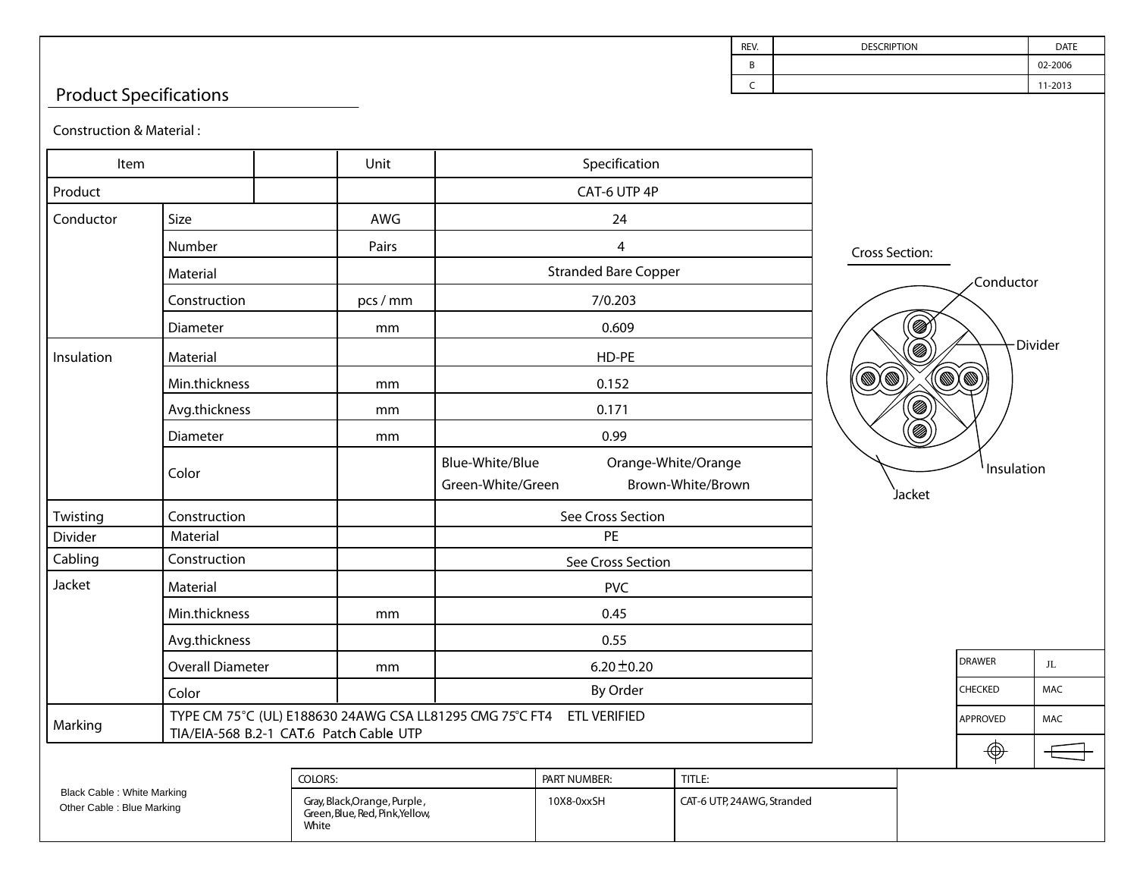## Product Specifications

Construction & Material :

| construction & Matchar.                                                                                                     |                         |                                                                          |                                                                                  |              |                                                                                                                       |                       |         |            |            |
|-----------------------------------------------------------------------------------------------------------------------------|-------------------------|--------------------------------------------------------------------------|----------------------------------------------------------------------------------|--------------|-----------------------------------------------------------------------------------------------------------------------|-----------------------|---------|------------|------------|
| Item                                                                                                                        |                         | Unit                                                                     | Specification                                                                    |              |                                                                                                                       |                       |         |            |            |
| Product                                                                                                                     |                         |                                                                          | CAT-6 UTP 4P                                                                     |              |                                                                                                                       |                       |         |            |            |
| Conductor                                                                                                                   | Size                    | AWG                                                                      |                                                                                  | 24           |                                                                                                                       |                       |         |            |            |
|                                                                                                                             | Number                  | Pairs                                                                    | $\overline{\mathbf{4}}$<br><b>Stranded Bare Copper</b>                           |              |                                                                                                                       | <b>Cross Section:</b> |         |            |            |
|                                                                                                                             | Material                |                                                                          |                                                                                  |              | <b>Conductor</b>                                                                                                      |                       |         |            |            |
|                                                                                                                             | Construction            | pcs / mm                                                                 |                                                                                  | 7/0.203      |                                                                                                                       |                       |         |            |            |
|                                                                                                                             | Diameter                | mm                                                                       | Ø<br>0.609                                                                       |              |                                                                                                                       |                       |         |            |            |
| Insulation                                                                                                                  | Material                |                                                                          | HD-PE                                                                            |              | Divider<br>Ø<br>$\widehat{\mathbb{Q}}$<br>O)<br>$(\mathbb{D}(\mathbb{D})$<br>.<br>Ø<br>.<br>Ø<br>Insulation<br>Jacket |                       |         |            |            |
|                                                                                                                             | Min.thickness           | mm                                                                       | 0.152                                                                            |              |                                                                                                                       |                       |         |            |            |
|                                                                                                                             | Avg.thickness           | mm                                                                       | 0.171                                                                            |              |                                                                                                                       |                       |         |            |            |
|                                                                                                                             | Diameter                | mm                                                                       | 0.99                                                                             |              |                                                                                                                       |                       |         |            |            |
|                                                                                                                             | Color                   |                                                                          | Blue-White/Blue<br>Orange-White/Orange<br>Green-White/Green<br>Brown-White/Brown |              |                                                                                                                       |                       |         |            |            |
| Twisting                                                                                                                    | Construction            |                                                                          | See Cross Section                                                                |              |                                                                                                                       |                       |         |            |            |
| Divider                                                                                                                     | Material                |                                                                          | PE                                                                               |              |                                                                                                                       |                       |         |            |            |
| Cabling                                                                                                                     | Construction            |                                                                          | See Cross Section                                                                |              |                                                                                                                       |                       |         |            |            |
| Jacket                                                                                                                      | Material                |                                                                          | <b>PVC</b>                                                                       |              |                                                                                                                       |                       |         |            |            |
|                                                                                                                             | Min.thickness           | mm                                                                       | 0.45                                                                             |              |                                                                                                                       |                       |         |            |            |
|                                                                                                                             | Avg.thickness           |                                                                          | 0.55                                                                             |              |                                                                                                                       |                       |         |            |            |
|                                                                                                                             | <b>Overall Diameter</b> | mm                                                                       | 6.20 $\pm$ 0.20                                                                  |              |                                                                                                                       |                       | DRAWER  | JL.        |            |
|                                                                                                                             | Color                   |                                                                          | By Order                                                                         |              |                                                                                                                       |                       | CHECKED | <b>MAC</b> |            |
| TYPE CM 75°C (UL) E188630 24AWG CSA LL81295 CMG 75°C FT4 ETL VERIFIED<br>Marking<br>TIA/EIA-568 B.2-1 CAT.6 Patch Cable UTP |                         |                                                                          |                                                                                  |              |                                                                                                                       |                       |         | APPROVED   | <b>MAC</b> |
|                                                                                                                             |                         |                                                                          |                                                                                  |              |                                                                                                                       |                       |         | ⊕          |            |
| Black Cable : White Marking<br>Other Cable : Blue Marking                                                                   |                         | COLORS:                                                                  |                                                                                  | PART NUMBER: | TITLE:                                                                                                                |                       |         |            |            |
|                                                                                                                             |                         | Gray, Black, Orange, Purple,<br>Green, Blue, Red, Pink, Yellow,<br>White |                                                                                  |              | CAT-6 UTP, 24AWG, Stranded                                                                                            |                       |         |            |            |

C 11-2013

B 02-2006

REV. DESCRIPTION DESCRIPTION DATE